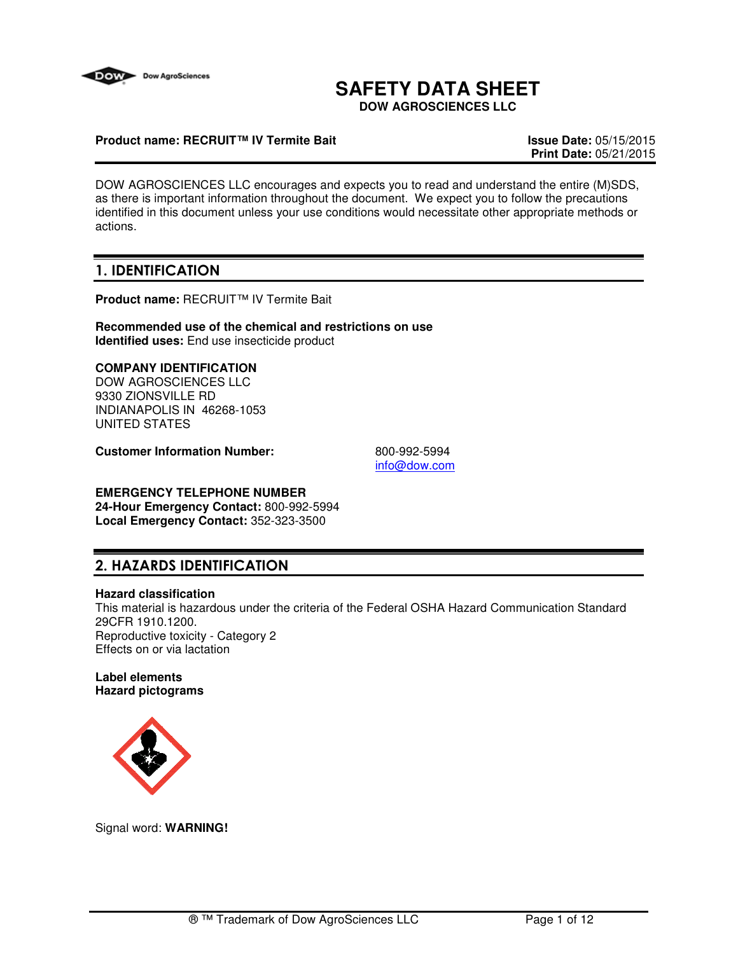

# **SAFETY DATA SHEET**

**DOW AGROSCIENCES LLC**

# **Product name: RECRUIT™ IV Termite Bait Issue Date:** 05/15/2015

**Print Date:** 05/21/2015

DOW AGROSCIENCES LLC encourages and expects you to read and understand the entire (M)SDS, as there is important information throughout the document. We expect you to follow the precautions identified in this document unless your use conditions would necessitate other appropriate methods or actions.

# 1. IDENTIFICATION

**Product name:** RECRUIT™ IV Termite Bait

**Recommended use of the chemical and restrictions on use Identified uses:** End use insecticide product

# **COMPANY IDENTIFICATION**

DOW AGROSCIENCES LLC 9330 ZIONSVILLE RD INDIANAPOLIS IN 46268-1053 UNITED STATES

**Customer Information Number:** 800-992-5994

info@dow.com

# **EMERGENCY TELEPHONE NUMBER**

**24-Hour Emergency Contact:** 800-992-5994 **Local Emergency Contact:** 352-323-3500

# 2. HAZARDS IDENTIFICATION

#### **Hazard classification**

This material is hazardous under the criteria of the Federal OSHA Hazard Communication Standard 29CFR 1910.1200. Reproductive toxicity - Category 2 Effects on or via lactation

#### **Label elements Hazard pictograms**



Signal word: **WARNING!**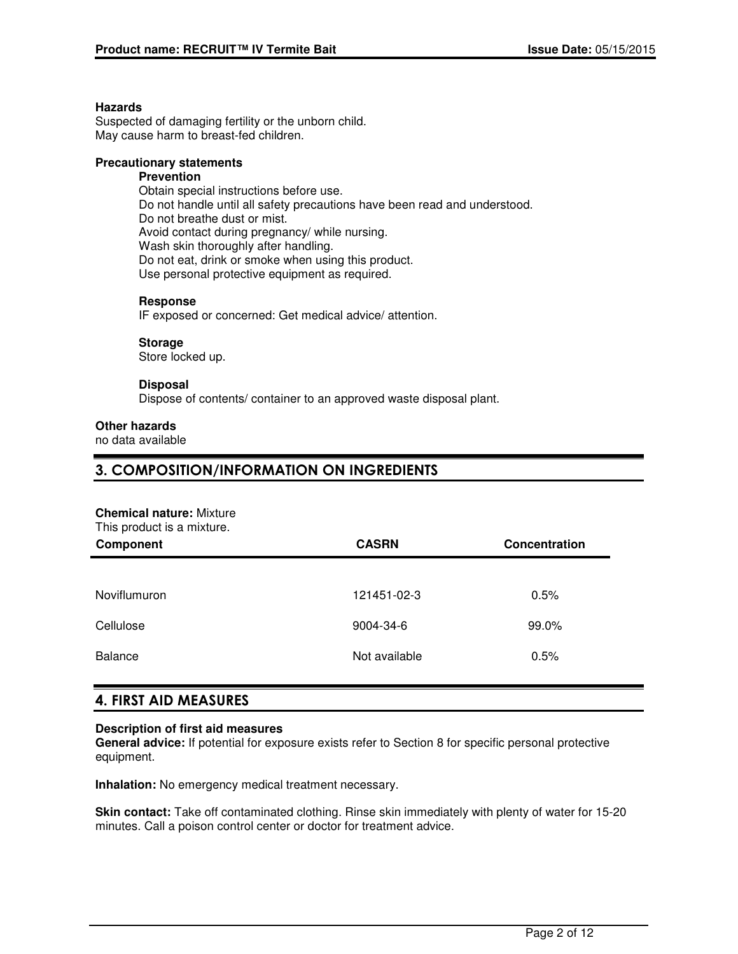#### **Hazards**

Suspected of damaging fertility or the unborn child. May cause harm to breast-fed children.

## **Precautionary statements**

# **Prevention**

Obtain special instructions before use. Do not handle until all safety precautions have been read and understood. Do not breathe dust or mist. Avoid contact during pregnancy/ while nursing. Wash skin thoroughly after handling. Do not eat, drink or smoke when using this product. Use personal protective equipment as required.

#### **Response**

IF exposed or concerned: Get medical advice/ attention.

#### **Storage**

Store locked up.

#### **Disposal**

Dispose of contents/ container to an approved waste disposal plant.

#### **Other hazards**

no data available

# 3. COMPOSITION/INFORMATION ON INGREDIENTS

#### **Chemical nature:** Mixture

This product is a mixture.

| Component      | <b>CASRN</b>  | Concentration |
|----------------|---------------|---------------|
|                |               |               |
| Noviflumuron   | 121451-02-3   | 0.5%          |
| Cellulose      | 9004-34-6     | 99.0%         |
| <b>Balance</b> | Not available | 0.5%          |

# 4. FIRST AID MEASURES

#### **Description of first aid measures**

**General advice:** If potential for exposure exists refer to Section 8 for specific personal protective equipment.

**Inhalation:** No emergency medical treatment necessary.

**Skin contact:** Take off contaminated clothing. Rinse skin immediately with plenty of water for 15-20 minutes. Call a poison control center or doctor for treatment advice.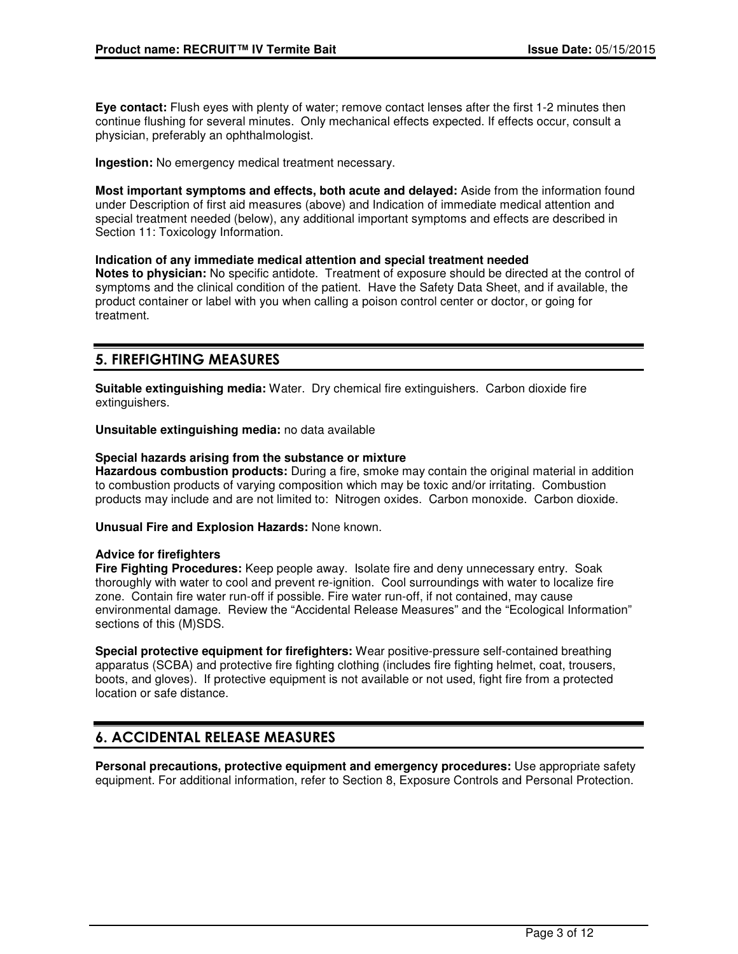**Eye contact:** Flush eyes with plenty of water; remove contact lenses after the first 1-2 minutes then continue flushing for several minutes. Only mechanical effects expected. If effects occur, consult a physician, preferably an ophthalmologist.

**Ingestion:** No emergency medical treatment necessary.

**Most important symptoms and effects, both acute and delayed:** Aside from the information found under Description of first aid measures (above) and Indication of immediate medical attention and special treatment needed (below), any additional important symptoms and effects are described in Section 11: Toxicology Information.

#### **Indication of any immediate medical attention and special treatment needed**

**Notes to physician:** No specific antidote. Treatment of exposure should be directed at the control of symptoms and the clinical condition of the patient. Have the Safety Data Sheet, and if available, the product container or label with you when calling a poison control center or doctor, or going for treatment.

# 5. FIREFIGHTING MEASURES

**Suitable extinguishing media:** Water. Dry chemical fire extinguishers. Carbon dioxide fire extinguishers.

**Unsuitable extinguishing media:** no data available

#### **Special hazards arising from the substance or mixture**

**Hazardous combustion products:** During a fire, smoke may contain the original material in addition to combustion products of varying composition which may be toxic and/or irritating. Combustion products may include and are not limited to: Nitrogen oxides. Carbon monoxide. Carbon dioxide.

**Unusual Fire and Explosion Hazards:** None known.

#### **Advice for firefighters**

**Fire Fighting Procedures:** Keep people away. Isolate fire and deny unnecessary entry. Soak thoroughly with water to cool and prevent re-ignition. Cool surroundings with water to localize fire zone. Contain fire water run-off if possible. Fire water run-off, if not contained, may cause environmental damage. Review the "Accidental Release Measures" and the "Ecological Information" sections of this (M)SDS.

**Special protective equipment for firefighters:** Wear positive-pressure self-contained breathing apparatus (SCBA) and protective fire fighting clothing (includes fire fighting helmet, coat, trousers, boots, and gloves). If protective equipment is not available or not used, fight fire from a protected location or safe distance.

# 6. ACCIDENTAL RELEASE MEASURES

**Personal precautions, protective equipment and emergency procedures:** Use appropriate safety equipment. For additional information, refer to Section 8, Exposure Controls and Personal Protection.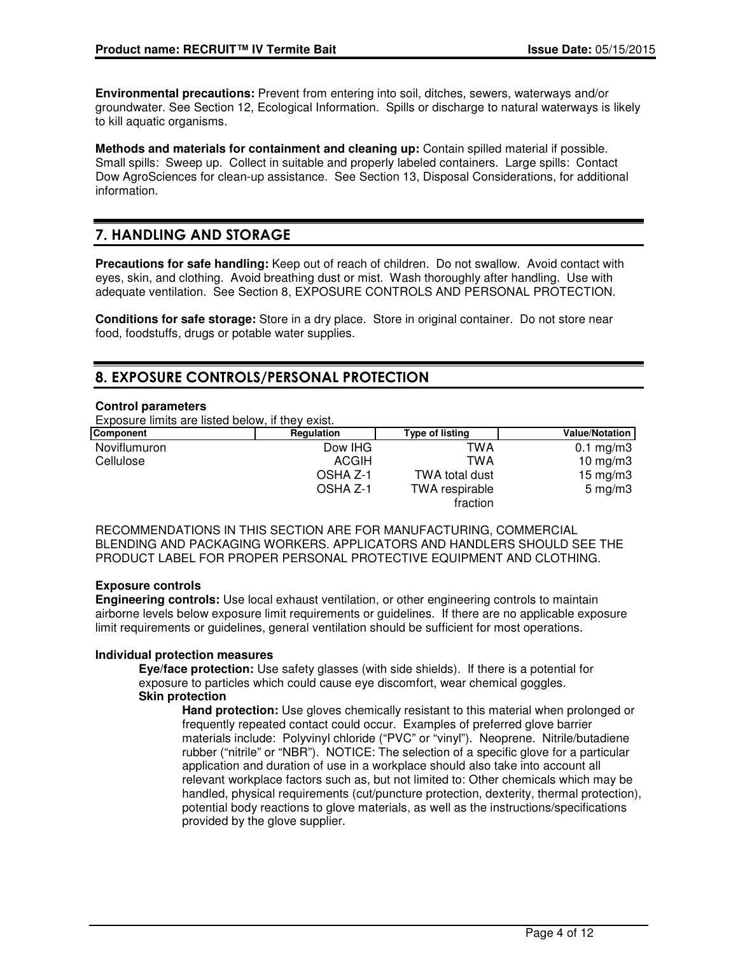**Environmental precautions:** Prevent from entering into soil, ditches, sewers, waterways and/or groundwater. See Section 12, Ecological Information. Spills or discharge to natural waterways is likely to kill aquatic organisms.

**Methods and materials for containment and cleaning up:** Contain spilled material if possible. Small spills: Sweep up. Collect in suitable and properly labeled containers. Large spills: Contact Dow AgroSciences for clean-up assistance. See Section 13, Disposal Considerations, for additional information.

# 7. HANDLING AND STORAGE

**Precautions for safe handling:** Keep out of reach of children. Do not swallow. Avoid contact with eyes, skin, and clothing. Avoid breathing dust or mist. Wash thoroughly after handling. Use with adequate ventilation. See Section 8, EXPOSURE CONTROLS AND PERSONAL PROTECTION.

**Conditions for safe storage:** Store in a dry place. Store in original container. Do not store near food, foodstuffs, drugs or potable water supplies.

# 8. EXPOSURE CONTROLS/PERSONAL PROTECTION

## **Control parameters**

Exposure limits are listed below, if they exist.

| Component    | Regulation   | <b>Type of listing</b>     | <b>Value/Notation</b> |
|--------------|--------------|----------------------------|-----------------------|
| Noviflumuron | Dow IHG      | TWA                        | $0.1 \text{ mg/m}$ 3  |
| Cellulose    | <b>ACGIH</b> | TWA                        | 10 $mg/m3$            |
|              | OSHA Z-1     | TWA total dust             | 15 mg/m $3$           |
|              | OSHA Z-1     | TWA respirable<br>fraction | $5 \text{ mg/m}$      |

RECOMMENDATIONS IN THIS SECTION ARE FOR MANUFACTURING, COMMERCIAL BLENDING AND PACKAGING WORKERS. APPLICATORS AND HANDLERS SHOULD SEE THE PRODUCT LABEL FOR PROPER PERSONAL PROTECTIVE EQUIPMENT AND CLOTHING.

# **Exposure controls**

**Engineering controls:** Use local exhaust ventilation, or other engineering controls to maintain airborne levels below exposure limit requirements or guidelines. If there are no applicable exposure limit requirements or guidelines, general ventilation should be sufficient for most operations.

#### **Individual protection measures**

**Eye/face protection:** Use safety glasses (with side shields). If there is a potential for exposure to particles which could cause eye discomfort, wear chemical goggles. **Skin protection**

**Hand protection:** Use gloves chemically resistant to this material when prolonged or frequently repeated contact could occur. Examples of preferred glove barrier materials include: Polyvinyl chloride ("PVC" or "vinyl"). Neoprene. Nitrile/butadiene rubber ("nitrile" or "NBR"). NOTICE: The selection of a specific glove for a particular application and duration of use in a workplace should also take into account all relevant workplace factors such as, but not limited to: Other chemicals which may be handled, physical requirements (cut/puncture protection, dexterity, thermal protection), potential body reactions to glove materials, as well as the instructions/specifications provided by the glove supplier.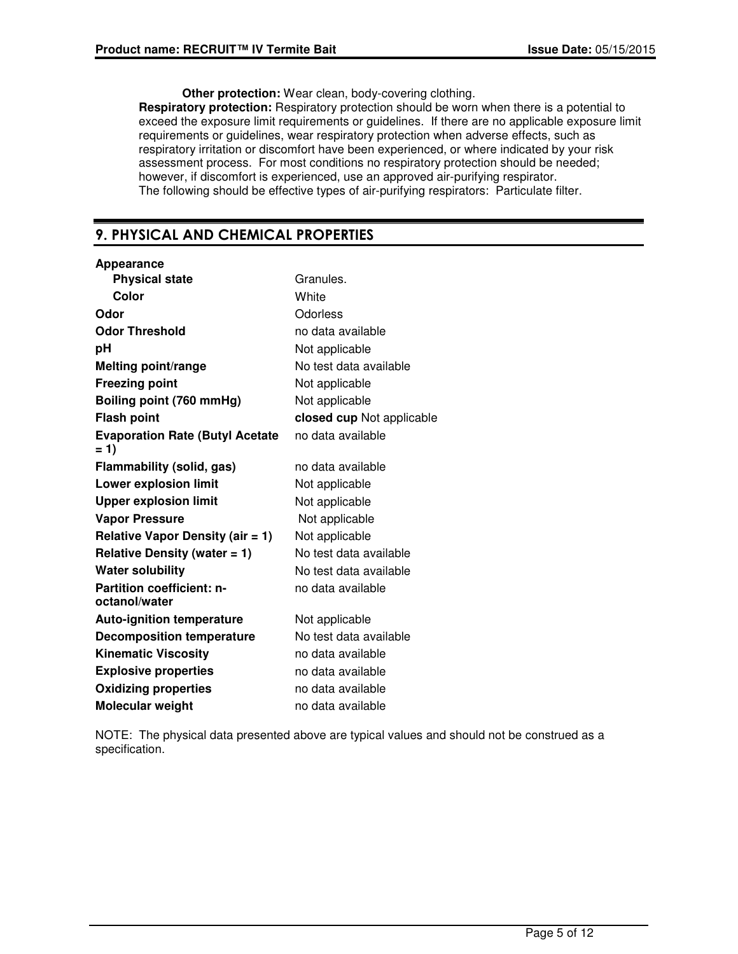**Other protection:** Wear clean, body-covering clothing.

**Respiratory protection:** Respiratory protection should be worn when there is a potential to exceed the exposure limit requirements or guidelines. If there are no applicable exposure limit requirements or guidelines, wear respiratory protection when adverse effects, such as respiratory irritation or discomfort have been experienced, or where indicated by your risk assessment process. For most conditions no respiratory protection should be needed; however, if discomfort is experienced, use an approved air-purifying respirator. The following should be effective types of air-purifying respirators: Particulate filter.

# 9. PHYSICAL AND CHEMICAL PROPERTIES

| Appearance                                        |                           |
|---------------------------------------------------|---------------------------|
| <b>Physical state</b>                             | Granules.                 |
| Color                                             | White                     |
| Odor                                              | Odorless                  |
| <b>Odor Threshold</b>                             | no data available         |
| рH                                                | Not applicable            |
| <b>Melting point/range</b>                        | No test data available    |
| <b>Freezing point</b>                             | Not applicable            |
| Boiling point (760 mmHg)                          | Not applicable            |
| <b>Flash point</b>                                | closed cup Not applicable |
| <b>Evaporation Rate (Butyl Acetate</b><br>$= 1$   | no data available         |
| <b>Flammability (solid, gas)</b>                  | no data available         |
| <b>Lower explosion limit</b>                      | Not applicable            |
| <b>Upper explosion limit</b>                      | Not applicable            |
| <b>Vapor Pressure</b>                             | Not applicable            |
| Relative Vapor Density (air $= 1$ )               | Not applicable            |
| Relative Density (water $= 1$ )                   | No test data available    |
| <b>Water solubility</b>                           | No test data available    |
| <b>Partition coefficient: n-</b><br>octanol/water | no data available         |
| <b>Auto-ignition temperature</b>                  | Not applicable            |
| <b>Decomposition temperature</b>                  | No test data available    |
| <b>Kinematic Viscosity</b>                        | no data available         |
| <b>Explosive properties</b>                       | no data available         |
| <b>Oxidizing properties</b>                       | no data available         |
| Molecular weight                                  | no data available         |

NOTE: The physical data presented above are typical values and should not be construed as a specification.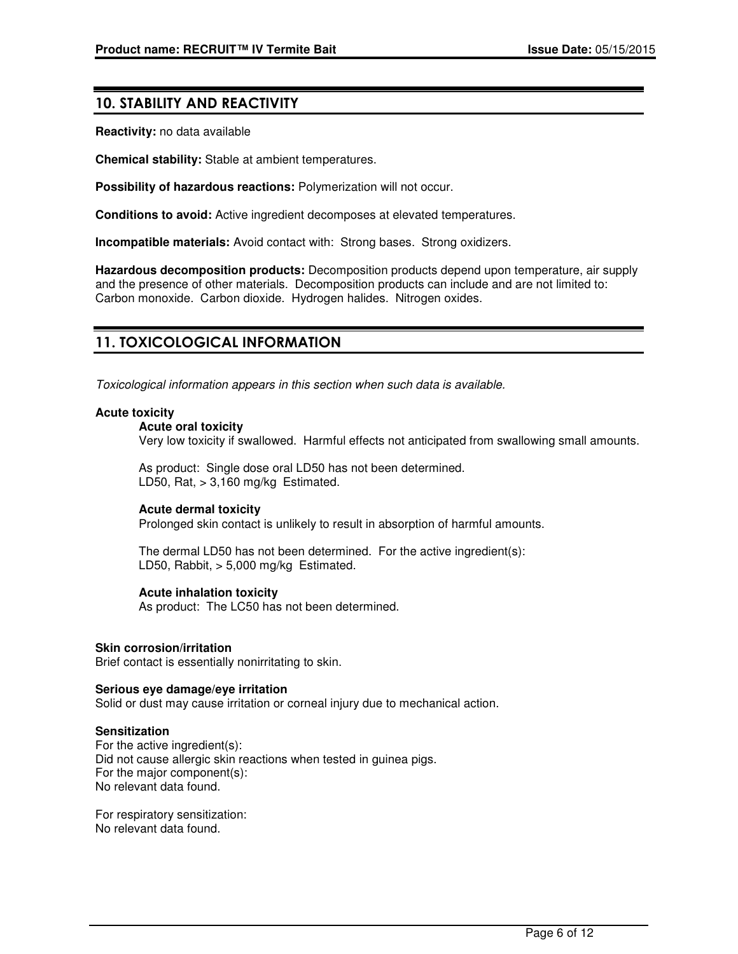# 10. STABILITY AND REACTIVITY

**Reactivity:** no data available

**Chemical stability:** Stable at ambient temperatures.

**Possibility of hazardous reactions:** Polymerization will not occur.

**Conditions to avoid:** Active ingredient decomposes at elevated temperatures.

**Incompatible materials:** Avoid contact with: Strong bases. Strong oxidizers.

**Hazardous decomposition products:** Decomposition products depend upon temperature, air supply and the presence of other materials. Decomposition products can include and are not limited to: Carbon monoxide. Carbon dioxide. Hydrogen halides. Nitrogen oxides.

# 11. TOXICOLOGICAL INFORMATION

Toxicological information appears in this section when such data is available.

#### **Acute toxicity**

#### **Acute oral toxicity**

Very low toxicity if swallowed. Harmful effects not anticipated from swallowing small amounts.

As product: Single dose oral LD50 has not been determined. LD50, Rat,  $> 3,160$  mg/kg Estimated.

#### **Acute dermal toxicity**

Prolonged skin contact is unlikely to result in absorption of harmful amounts.

The dermal LD50 has not been determined. For the active ingredient(s): LD50, Rabbit, > 5,000 mg/kg Estimated.

#### **Acute inhalation toxicity**

As product: The LC50 has not been determined.

#### **Skin corrosion/irritation**

Brief contact is essentially nonirritating to skin.

#### **Serious eye damage/eye irritation**

Solid or dust may cause irritation or corneal injury due to mechanical action.

#### **Sensitization**

For the active ingredient(s): Did not cause allergic skin reactions when tested in guinea pigs. For the major component(s): No relevant data found.

For respiratory sensitization: No relevant data found.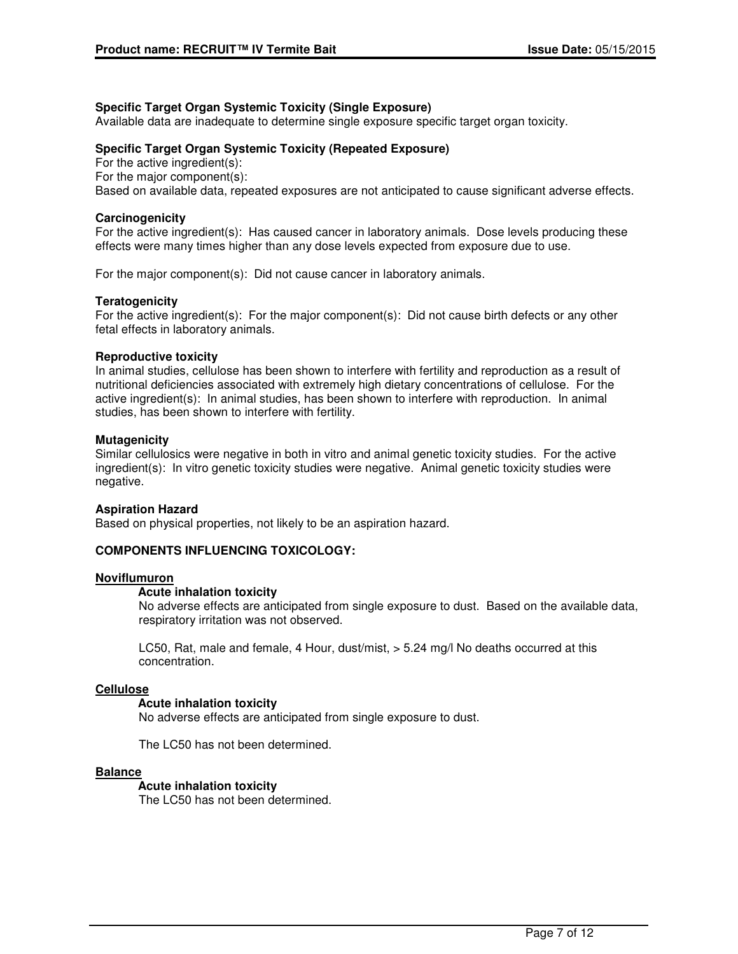# **Specific Target Organ Systemic Toxicity (Single Exposure)**

Available data are inadequate to determine single exposure specific target organ toxicity.

# **Specific Target Organ Systemic Toxicity (Repeated Exposure)**

For the active ingredient(s): For the major component(s): Based on available data, repeated exposures are not anticipated to cause significant adverse effects.

# **Carcinogenicity**

For the active ingredient(s): Has caused cancer in laboratory animals. Dose levels producing these effects were many times higher than any dose levels expected from exposure due to use.

For the major component(s): Did not cause cancer in laboratory animals.

## **Teratogenicity**

For the active ingredient(s): For the major component(s): Did not cause birth defects or any other fetal effects in laboratory animals.

#### **Reproductive toxicity**

In animal studies, cellulose has been shown to interfere with fertility and reproduction as a result of nutritional deficiencies associated with extremely high dietary concentrations of cellulose. For the active ingredient(s): In animal studies, has been shown to interfere with reproduction. In animal studies, has been shown to interfere with fertility.

## **Mutagenicity**

Similar cellulosics were negative in both in vitro and animal genetic toxicity studies. For the active ingredient(s): In vitro genetic toxicity studies were negative. Animal genetic toxicity studies were negative.

#### **Aspiration Hazard**

Based on physical properties, not likely to be an aspiration hazard.

# **COMPONENTS INFLUENCING TOXICOLOGY:**

#### **Noviflumuron**

#### **Acute inhalation toxicity**

No adverse effects are anticipated from single exposure to dust. Based on the available data, respiratory irritation was not observed.

LC50, Rat, male and female, 4 Hour, dust/mist, > 5.24 mg/l No deaths occurred at this concentration.

#### **Cellulose**

#### **Acute inhalation toxicity**

No adverse effects are anticipated from single exposure to dust.

The LC50 has not been determined.

#### **Balance**

#### **Acute inhalation toxicity**

The LC50 has not been determined.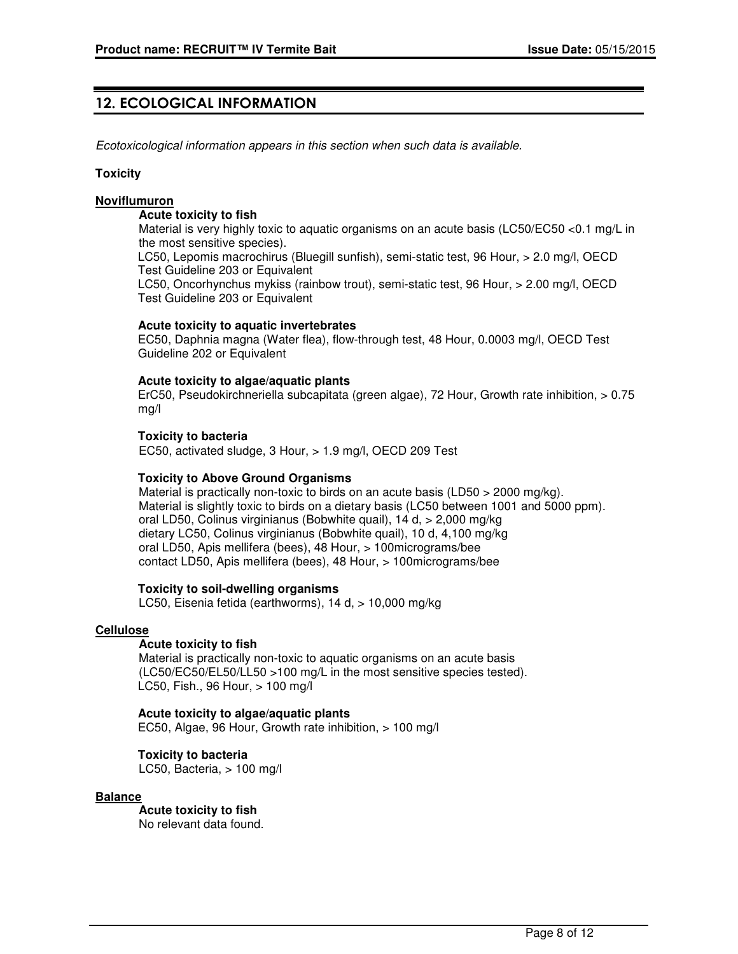# 12. ECOLOGICAL INFORMATION

Ecotoxicological information appears in this section when such data is available.

#### **Toxicity**

#### **Noviflumuron**

#### **Acute toxicity to fish**

Material is very highly toxic to aquatic organisms on an acute basis (LC50/EC50 <0.1 mg/L in the most sensitive species).

LC50, Lepomis macrochirus (Bluegill sunfish), semi-static test, 96 Hour, > 2.0 mg/l, OECD Test Guideline 203 or Equivalent

LC50, Oncorhynchus mykiss (rainbow trout), semi-static test, 96 Hour, > 2.00 mg/l, OECD Test Guideline 203 or Equivalent

#### **Acute toxicity to aquatic invertebrates**

EC50, Daphnia magna (Water flea), flow-through test, 48 Hour, 0.0003 mg/l, OECD Test Guideline 202 or Equivalent

## **Acute toxicity to algae/aquatic plants**

ErC50, Pseudokirchneriella subcapitata (green algae), 72 Hour, Growth rate inhibition, > 0.75 mg/l

## **Toxicity to bacteria**

EC50, activated sludge, 3 Hour, > 1.9 mg/l, OECD 209 Test

#### **Toxicity to Above Ground Organisms**

Material is practically non-toxic to birds on an acute basis (LD50 > 2000 mg/kg). Material is slightly toxic to birds on a dietary basis (LC50 between 1001 and 5000 ppm). oral LD50, Colinus virginianus (Bobwhite quail), 14 d, > 2,000 mg/kg dietary LC50, Colinus virginianus (Bobwhite quail), 10 d, 4,100 mg/kg oral LD50, Apis mellifera (bees), 48 Hour, > 100micrograms/bee contact LD50, Apis mellifera (bees), 48 Hour, > 100micrograms/bee

#### **Toxicity to soil-dwelling organisms**

LC50, Eisenia fetida (earthworms), 14 d, > 10,000 mg/kg

#### **Cellulose**

#### **Acute toxicity to fish**

Material is practically non-toxic to aquatic organisms on an acute basis (LC50/EC50/EL50/LL50 >100 mg/L in the most sensitive species tested). LC50, Fish., 96 Hour, > 100 mg/l

#### **Acute toxicity to algae/aquatic plants**

EC50, Algae, 96 Hour, Growth rate inhibition, > 100 mg/l

# **Toxicity to bacteria**

LC50, Bacteria, > 100 mg/l

# **Balance**

**Acute toxicity to fish** No relevant data found.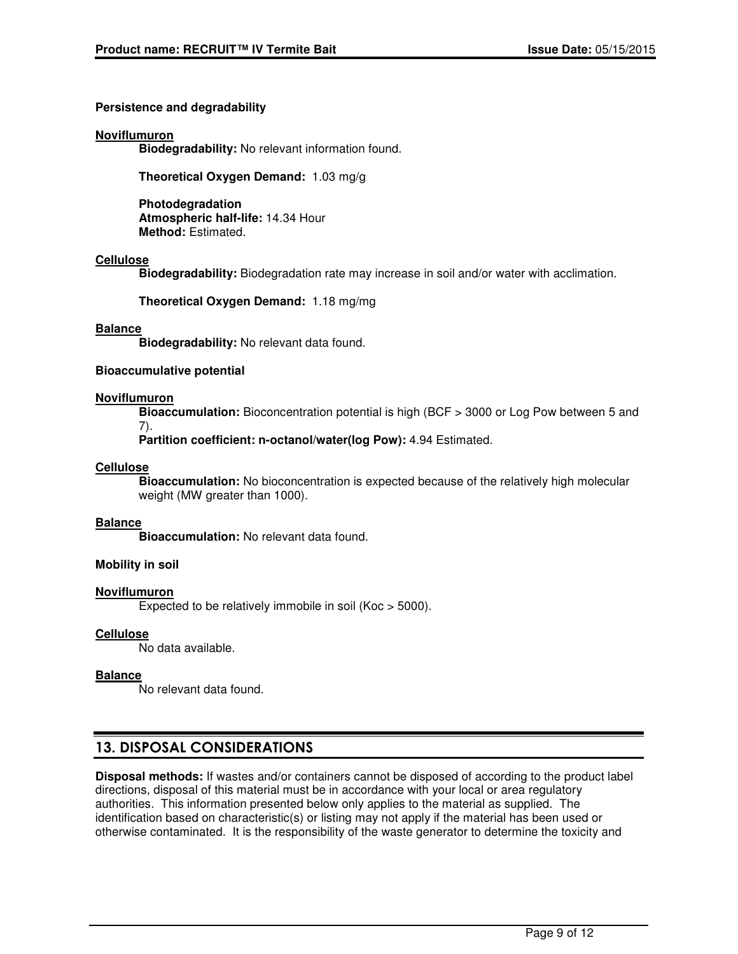# **Persistence and degradability**

## **Noviflumuron**

**Biodegradability:** No relevant information found.

**Theoretical Oxygen Demand:** 1.03 mg/g

**Photodegradation Atmospheric half-life:** 14.34 Hour **Method:** Estimated.

## **Cellulose**

**Biodegradability:** Biodegradation rate may increase in soil and/or water with acclimation.

**Theoretical Oxygen Demand:** 1.18 mg/mg

## **Balance**

**Biodegradability:** No relevant data found.

## **Bioaccumulative potential**

## **Noviflumuron**

**Bioaccumulation:** Bioconcentration potential is high (BCF > 3000 or Log Pow between 5 and 7).

**Partition coefficient: n-octanol/water(log Pow):** 4.94 Estimated.

## **Cellulose**

**Bioaccumulation:** No bioconcentration is expected because of the relatively high molecular weight (MW greater than 1000).

#### **Balance**

**Bioaccumulation:** No relevant data found.

# **Mobility in soil**

# **Noviflumuron**

Expected to be relatively immobile in soil (Koc > 5000).

# **Cellulose**

No data available.

#### **Balance**

No relevant data found.

# 13. DISPOSAL CONSIDERATIONS

**Disposal methods:** If wastes and/or containers cannot be disposed of according to the product label directions, disposal of this material must be in accordance with your local or area regulatory authorities. This information presented below only applies to the material as supplied. The identification based on characteristic(s) or listing may not apply if the material has been used or otherwise contaminated. It is the responsibility of the waste generator to determine the toxicity and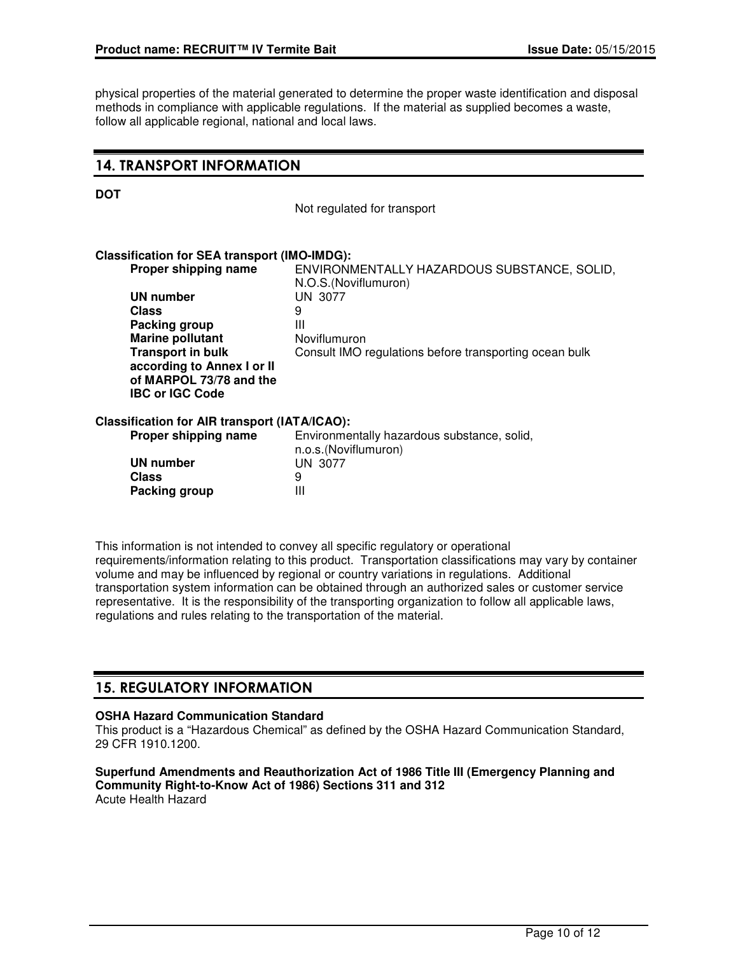physical properties of the material generated to determine the proper waste identification and disposal methods in compliance with applicable regulations. If the material as supplied becomes a waste, follow all applicable regional, national and local laws.

# 14. TRANSPORT INFORMATION

Not regulated for transport

## **Classification for SEA transport (IMO-IMDG):**

|              | Proper shipping name                                                            | ENVIRONMENTALLY HAZARDOUS SUBSTANCE, SOLID,<br>N.O.S. (Noviflumuron) |
|--------------|---------------------------------------------------------------------------------|----------------------------------------------------------------------|
|              | <b>UN number</b>                                                                | UN 3077                                                              |
| <b>Class</b> |                                                                                 | 9                                                                    |
|              | Packing group                                                                   | Ш                                                                    |
|              | <b>Marine pollutant</b>                                                         | Noviflumuron                                                         |
|              | <b>Transport in bulk</b>                                                        | Consult IMO regulations before transporting ocean bulk               |
|              | according to Annex I or II<br>of MARPOL 73/78 and the<br><b>IBC or IGC Code</b> |                                                                      |
|              | Classification for AIR transport (IATA/ICAO):                                   |                                                                      |
|              | Proper shipping name                                                            | Environmentally hazardous substance, solid,<br>n.o.s.(Noviflumuron)  |
|              | <b>UN number</b>                                                                | UN 3077                                                              |
| <b>Class</b> |                                                                                 | 9                                                                    |
|              | Packing group                                                                   | Ш                                                                    |

This information is not intended to convey all specific regulatory or operational requirements/information relating to this product. Transportation classifications may vary by container volume and may be influenced by regional or country variations in regulations. Additional transportation system information can be obtained through an authorized sales or customer service representative. It is the responsibility of the transporting organization to follow all applicable laws, regulations and rules relating to the transportation of the material.

# 15. REGULATORY INFORMATION

**Packing group** 

#### **OSHA Hazard Communication Standard**

This product is a "Hazardous Chemical" as defined by the OSHA Hazard Communication Standard, 29 CFR 1910.1200.

**Superfund Amendments and Reauthorization Act of 1986 Title III (Emergency Planning and Community Right-to-Know Act of 1986) Sections 311 and 312** Acute Health Hazard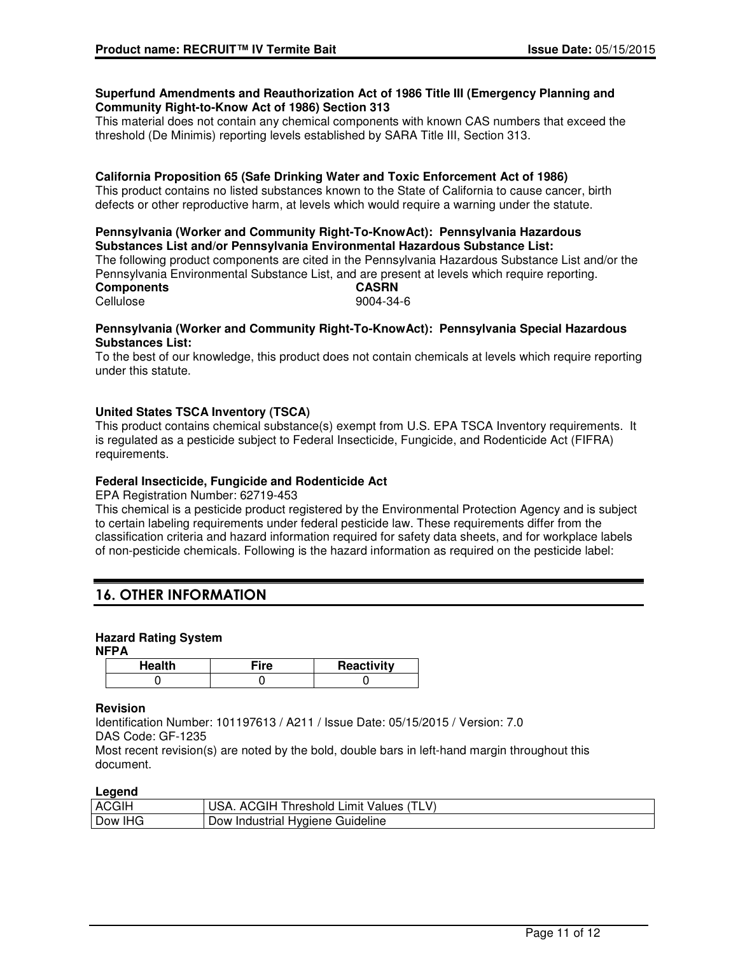#### **Superfund Amendments and Reauthorization Act of 1986 Title III (Emergency Planning and Community Right-to-Know Act of 1986) Section 313**

This material does not contain any chemical components with known CAS numbers that exceed the threshold (De Minimis) reporting levels established by SARA Title III, Section 313.

# **California Proposition 65 (Safe Drinking Water and Toxic Enforcement Act of 1986)**

This product contains no listed substances known to the State of California to cause cancer, birth defects or other reproductive harm, at levels which would require a warning under the statute.

#### **Pennsylvania (Worker and Community Right-To-KnowAct): Pennsylvania Hazardous Substances List and/or Pennsylvania Environmental Hazardous Substance List:**

The following product components are cited in the Pennsylvania Hazardous Substance List and/or the Pennsylvania Environmental Substance List, and are present at levels which require reporting. **Components CASRN** Cellulose 9004-34-6

## **Pennsylvania (Worker and Community Right-To-KnowAct): Pennsylvania Special Hazardous Substances List:**

To the best of our knowledge, this product does not contain chemicals at levels which require reporting under this statute.

# **United States TSCA Inventory (TSCA)**

This product contains chemical substance(s) exempt from U.S. EPA TSCA Inventory requirements. It is regulated as a pesticide subject to Federal Insecticide, Fungicide, and Rodenticide Act (FIFRA) requirements.

# **Federal Insecticide, Fungicide and Rodenticide Act**

EPA Registration Number: 62719-453

This chemical is a pesticide product registered by the Environmental Protection Agency and is subject to certain labeling requirements under federal pesticide law. These requirements differ from the classification criteria and hazard information required for safety data sheets, and for workplace labels of non-pesticide chemicals. Following is the hazard information as required on the pesticide label:

# 16. OTHER INFORMATION

# **Hazard Rating System**

**NFPA**

| Health | Reactivity |
|--------|------------|
|        |            |

#### **Revision**

Identification Number: 101197613 / A211 / Issue Date: 05/15/2015 / Version: 7.0 DAS Code: GF-1235

Most recent revision(s) are noted by the bold, double bars in left-hand margin throughout this document.

#### **Legend**

| <b>ACGIH</b> | ∟V`<br>…uGIH !"<br>Values<br>hreshold<br>Limit<br>AΙ<br>JSA |
|--------------|-------------------------------------------------------------|
| Dow IHG      | <sup>e</sup> Hygiene Guideline<br>Dow Industrial            |